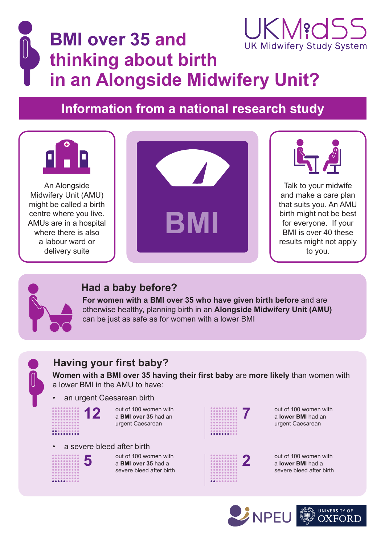## JK Migd **BMI over 35 and UK Midwifery Study System thinking about birth in an Alongside Midwifery Unit?**

# **Information from a national research study**



An Alongside Midwifery Unit (AMU) might be called a birth centre where you live. AMUs are in a hospital where there is also a labour ward or delivery suite





Talk to your midwife and make a care plan that suits you. An AMU birth might not be best for everyone. If your BMI is over 40 these results might not apply to you.



#### **Had a baby before?**

**For women with a BMI over 35 who have given birth before** and are otherwise healthy, planning birth in an **Alongside Midwifery Unit (AMU)** can be just as safe as for women with a lower BMI

### **Having your first baby?**

**Women with a BMI over 35 having their first baby** are **more likely** than women with a lower BMI in the AMU to have:

#### an urgent Caesarean birth

out of 100 women with a **BMI over 35** had an urgent Caesarean **12** out of 100 women with a BMI over 35 had an a series and a series of the series of the series of the series of the series of the series of the series of the series of the series of the series of the series of the serie



a **lower BMI** had an urgent Caesarean





<u>..........</u>

out of 100 women with  $\overline{5}$  out of 100 women with<br>a BMI over 35 had a  $\overline{2}$ severe bleed after birth

out of 100 women with a **lower BMI** had a severe bleed after birth